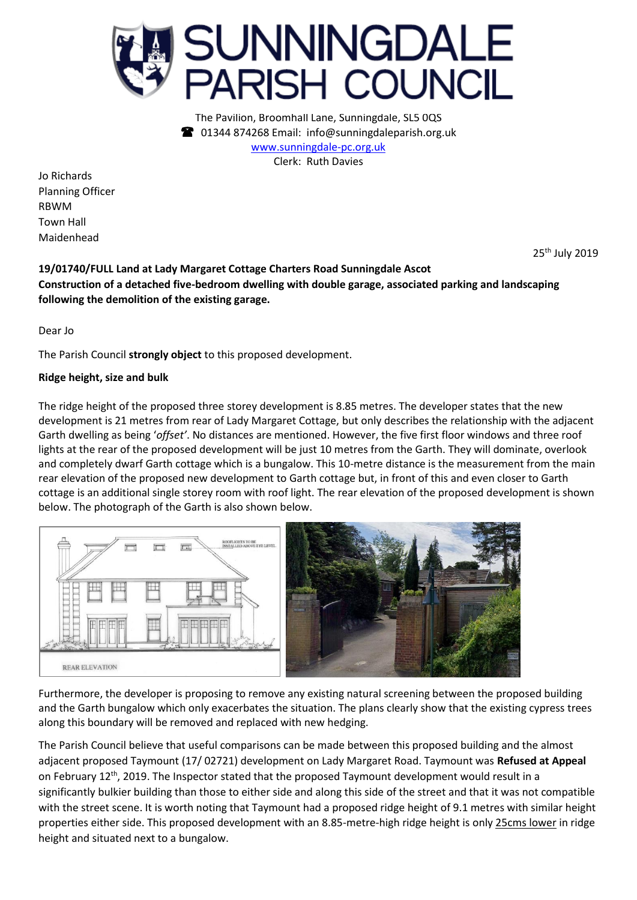

The Pavilion, Broomhall Lane, Sunningdale, SL5 0QS 01344 874268 Email: info@sunningdaleparish.org.uk [www.sunningdale-pc.org.uk](http://www.sunningdale-pc.org.uk/) Clerk: Ruth Davies

Jo Richards Planning Officer RBWM Town Hall Maidenhead

25th July 2019

## **19/01740/FULL Land at Lady Margaret Cottage Charters Road Sunningdale Ascot Construction of a detached five-bedroom dwelling with double garage, associated parking and landscaping following the demolition of the existing garage.**

Dear Jo

The Parish Council **strongly object** to this proposed development.

## **Ridge height, size and bulk**

The ridge height of the proposed three storey development is 8.85 metres. The developer states that the new development is 21 metres from rear of Lady Margaret Cottage, but only describes the relationship with the adjacent Garth dwelling as being '*offset'*. No distances are mentioned. However, the five first floor windows and three roof lights at the rear of the proposed development will be just 10 metres from the Garth. They will dominate, overlook and completely dwarf Garth cottage which is a bungalow. This 10-metre distance is the measurement from the main rear elevation of the proposed new development to Garth cottage but, in front of this and even closer to Garth cottage is an additional single storey room with roof light. The rear elevation of the proposed development is shown below. The photograph of the Garth is also shown below.



Furthermore, the developer is proposing to remove any existing natural screening between the proposed building and the Garth bungalow which only exacerbates the situation. The plans clearly show that the existing cypress trees along this boundary will be removed and replaced with new hedging.

The Parish Council believe that useful comparisons can be made between this proposed building and the almost adjacent proposed Taymount (17/ 02721) development on Lady Margaret Road. Taymount was **Refused at Appeal** on February 12<sup>th</sup>, 2019. The Inspector stated that the proposed Taymount development would result in a significantly bulkier building than those to either side and along this side of the street and that it was not compatible with the street scene. It is worth noting that Taymount had a proposed ridge height of 9.1 metres with similar height properties either side. This proposed development with an 8.85-metre-high ridge height is only 25cms lower in ridge height and situated next to a bungalow.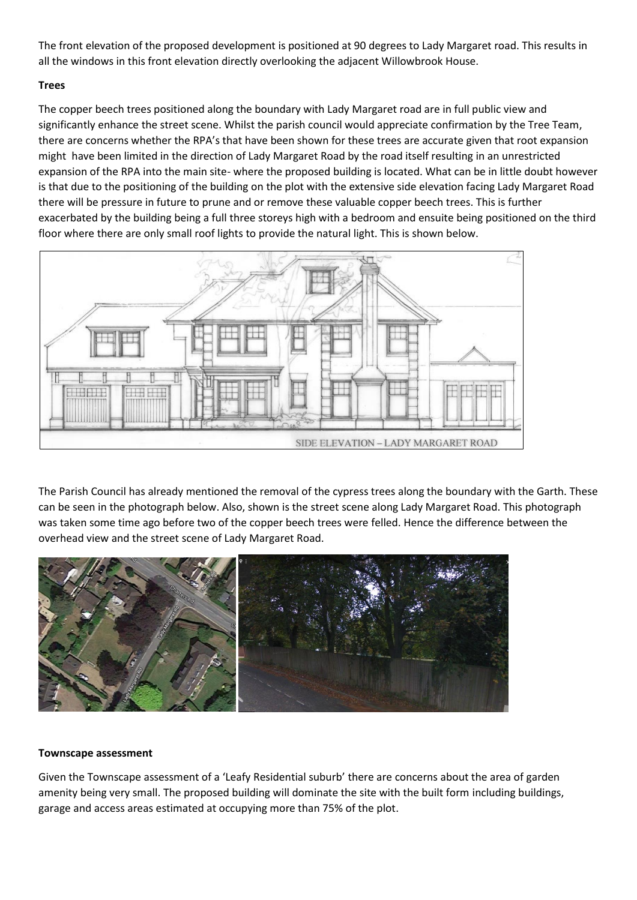The front elevation of the proposed development is positioned at 90 degrees to Lady Margaret road. This results in all the windows in this front elevation directly overlooking the adjacent Willowbrook House.

## **Trees**

The copper beech trees positioned along the boundary with Lady Margaret road are in full public view and significantly enhance the street scene. Whilst the parish council would appreciate confirmation by the Tree Team, there are concerns whether the RPA's that have been shown for these trees are accurate given that root expansion might have been limited in the direction of Lady Margaret Road by the road itself resulting in an unrestricted expansion of the RPA into the main site- where the proposed building is located. What can be in little doubt however is that due to the positioning of the building on the plot with the extensive side elevation facing Lady Margaret Road there will be pressure in future to prune and or remove these valuable copper beech trees. This is further exacerbated by the building being a full three storeys high with a bedroom and ensuite being positioned on the third floor where there are only small roof lights to provide the natural light. This is shown below.



The Parish Council has already mentioned the removal of the cypress trees along the boundary with the Garth. These can be seen in the photograph below. Also, shown is the street scene along Lady Margaret Road. This photograph was taken some time ago before two of the copper beech trees were felled. Hence the difference between the overhead view and the street scene of Lady Margaret Road.



## **Townscape assessment**

Given the Townscape assessment of a 'Leafy Residential suburb' there are concerns about the area of garden amenity being very small. The proposed building will dominate the site with the built form including buildings, garage and access areas estimated at occupying more than 75% of the plot.